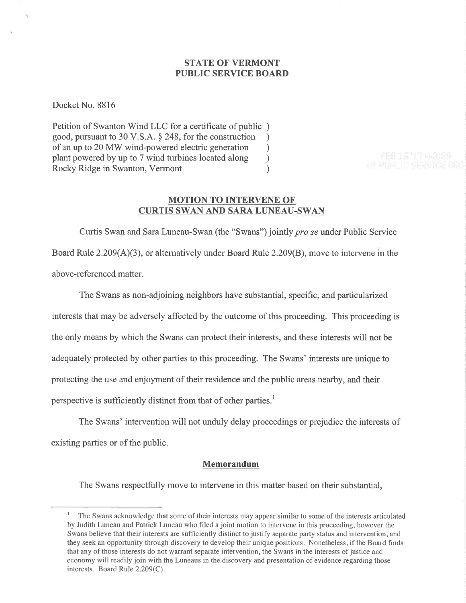## STATE OF VERMONT PUBLIC SERVICE BOARI)

Docket No. 8816

Petition of Swanton Wind LLC for a certificate of public ) good, pursuant to 30 V.S.A. § 248, for the construction <br>of an up to 20 MW wind-powered electric generation ( of an up to 20 MW wind-powered electric generation<br>plant powered by up to 7 wind turbines located along (b) plant powered by up to 7 wind turbines located along ) Rocky Ridge in Swanton, Vermont )

FFH 15 '17 m 9129

## MOTION TO INTERVENE OF CURTIS SWAN AND SARA LUNEAU-SWAN

Curtis Swan and Sara Luneau-Swan (the "Swans") jointly pro se under Public Service Board Rule  $2.209(A)(3)$ , or alternatively under Board Rule  $2.209(B)$ , move to intervene in the above-re ferenced matter.

The Swans as non-adjoining neighbors have substantial, specific, and particularized interests that may be adversely affected by the outcome of this proceeding. This proceeding is the only means by which the Swans can protect their interests, and these interests will not be adequately protected by other parties to this proceeding. The Swans' interests are unique to protecting the use and enjoyment of their residence and the public areas nearby, and their perspective is sufficiently distinct from that of other parties.<sup>1</sup>

The Swans' intervention will not unduly delay proceedings or prejudice the interests of existing parties or of the public.

#### Memorandum

The Swans respectfully move to intervene in this matter based on their substantial,

 $\frac{1}{1}$  The Swans acknowledge that some of their interests may appear similar to some of the interests articulated by Judith Luneau and Patrick Luneau who filed a joint motion to intervene in this proceeding, however the Swans believe that their interests are sufficiently distinct to justify separate party status and intervention, and they seek an opportunity through discovery to develop their unique positions. Nonetheless, if the Board finds that any of those interests do not warrant separate intervention, the Swans in the interests of justice and economy will readily join with the Luneaus in the discovery and presentation of evidence regarding those interests. Board Rule 2.209(C).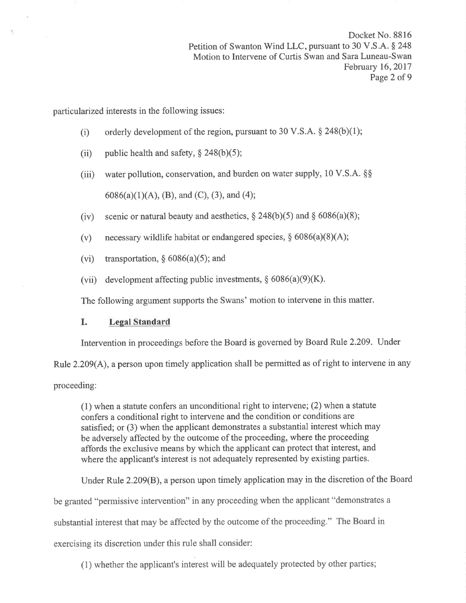Docket No. 8816 Petition of Swanton Wind LLC, pursuant to 30 V.S.A. § 248 Motion to Intervene of Curtis Swan and Sara Luneau-Swan February 16,2017 Page 2 of 9

particularized interests in the following issues:

- (i) orderly development of the region, pursuant to 30 V.S.A.  $\S$  248(b)(1);
- (ii) public health and safety,  $\S$  248(b)(5);
- (iii) water pollution, conservation, and burden on water supply, 10 V.S.A.  $\S$  $6086(a)(1)(A)$ , (B), and (C), (3), and (4);
- (iv) scenic or natural beauty and aesthetics,  $\S 248(b)(5)$  and  $\S 6086(a)(8)$ ;
- (v) necessary wildlife habitat or endangered species,  $\S 6086(a)(8)(A);$
- (vi) transportation,  $\S$  6086(a)(5); and
- (vii) development affecting public investments,  $\S 6086(a)(9)(K)$ .

The following argument supports the Swans' motion to intervene in this matter.

### I. Legal Standard

Intervention in proceedings before the Board is governed by Board Rule 2.209. Under

Rule 2.209(A), a person upon timely application shall be permitted as of right to intervene in any

proceeding:

(1) when a statute confers an unconditional right to intervene; (2) when a statute confers a conditional right to intervene and the condition or conditions are satisfied; or (3) when the applicant demonstrates a substantial interest which may be adversely affected by the outcome of the proceeding, where the proceeding affords the exclusive means by which the applicant can protect that interest, and where the applicant's interest is not adequately represented by existing parties.

Under Rule 2.209(B), a person upon timely application may in the discretion of the Board be granted "permissive intervention" in any proceeding when the applicant "demonstrates a substantial interest that may be affected by the outcome of the proceeding." The Board in exercising its discretion under this rule shall consider:

(1) whether the applicant's interest will be adequately protected by other parties;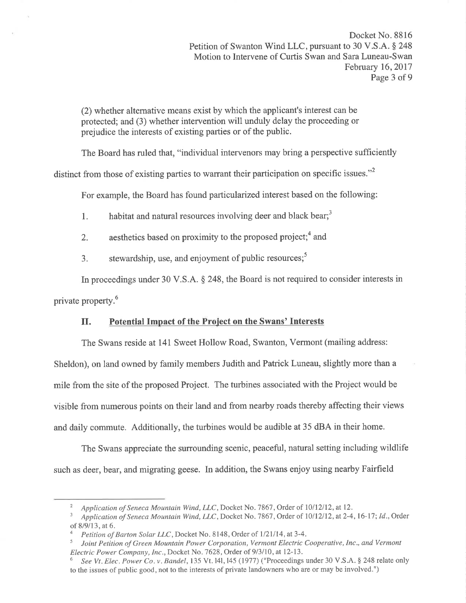(2) whether alternative means exist by which the applicant's interest can be protected; and (3) whether intervention will unduly delay the proceeding or prejudice the interests of existing parties or of the public.

The Board has ruled that, "individual intervenors may bring a perspective sufficiently

distinct from those of existing parties to warrant their participation on specific issues."<sup>2</sup>

For example, the Board has found particularized interest based on the following:

1. habitat and natural resources involving deer and black bear;  $3<sup>3</sup>$ 

2. aesthetics based on proximity to the proposed project;  $4$  and

3. stewardship, use, and enjoyment of public resources; $<sup>5</sup>$ </sup>

In proceedings under 30 V.S.A. \$ 248, the Board is not required to consider interests in private property.6

# II. Potential Impact of the Project on the Swans' Interests

The Swans reside at l4I Sweet Hollow Road, Swanton, Vermont (mailing address: Sheldon), on land owned by family members Judith and Patrick Luneau, slightly more than a mile from the site of the proposed Project. The turbines associated with the Project would be visible from numerous points on their land and from nearby roads thereby affecting their views and daily commute. Additionally, the turbines would be audible at 35 dBA in their home.

The Swans appreciate the surrounding scenic, peaceful, natural setting including wildlife such as deer, bear, and migrating geese. In addition, the Swans enjoy using nearby Fairfield

<sup>&</sup>lt;sup>2</sup> Application of Seneca Mountain Wind, LLC, Docket No. 7867, Order of 10/12/12, at 12.<br><sup>3</sup> Application of Seneca Mountain Wind, LLC, Docket No. 7867, Order of 10/12/12, at 2-4, 16-17; Id., Order of 8/9/13, at 6.<br>4 Petition of Barton Solar LLC, Docket No. 8148, Order of 1/21/14, at 3-4.

Joint Petition of Green Mountain Power Corporation, Vermont Electric Cooperative, Inc., and Vermont Electric Power Company, Inc., Docket No. 7628, Order of 9/3/10, at 12-13.

See Vt. Elec. Power Co. v. Bandel, 135 Vt. 141, 145 (1977) ("Proceedings under 30 V.S.A. § 248 relate only to the issues of public good, not to the interests of private landowners who are or may be involved.")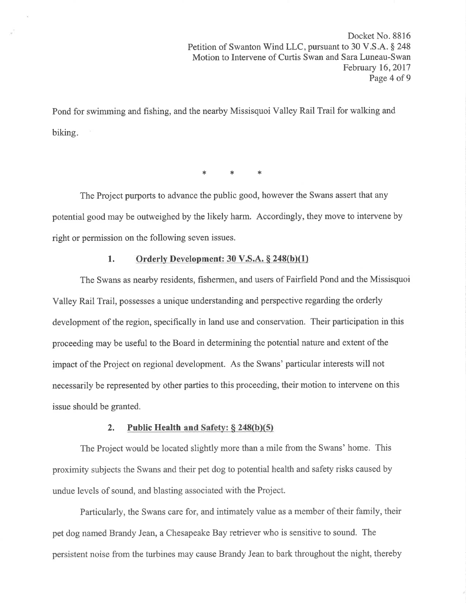Pond for swimming and fishing, and the nearby Missisquoi Valley Rail Trail for walking and biking

 $\ast$   $\ast$   $\ast$ 

The Project purports to advance the public good, however the Swans assert that any potential good may be outweighed by the likely harm. Accordingly, they move to intervene by right or permission on the following seven issues.

## 1. Orderly Development:  $30 \text{ V.S.A.}$   $\S$   $248(b)(1)$

The Swans as nearby residents, fishermen, and users of Fairfìeld Pond and the Missisquoi Valley Rail Trail, possesses a unique understanding and perspective regarding the orderly development of the region, specifically in land use and conservation. Their participation in this proceeding may be useful to the Board in determining the potential nature and extent of the impact of the Project on regional development. As the Swans' particular interests will not necessarily be represented by other parties to this proceeding, their motion to intervene on this issue should be granted.

### 2. Public Health and Safety:  $\S$  248(b)(5)

The Project would be located slightly more than a mile from the Swans' home. This proximity subjects the Swans and their pet dog to potential health and safety risks caused by undue levels of sound, and blasting associated with the Project.

Particularly, the Swans care for, and intimately value as a member of their family, their pet dog named Brandy Jean, a Chesapeake Bay retriever who is sensitive to sound. The persistent noise from the turbines may cause Brandy Jean to bark throughout the night, thereby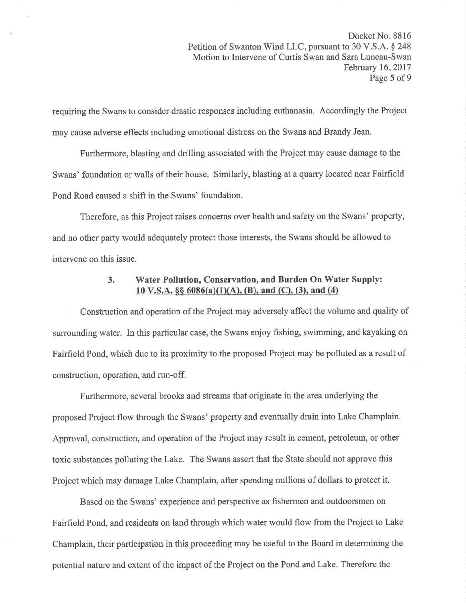requiring the Swans to consider drastic responses including euthanasia. Accordingly the Project may cause adverse effects including emotional distress on the Swans and Brandy Jean.

Furthermore, blasting and drilling associated with the Project may cause damage to the Swans' foundation or walls of their house. Similarly, blasting at a quarry located near Fairfield Pond Road caused a shift in the Swans' foundation.

Therefore, as this Project raises concerns over health and safety on the Swans' property, and no other party would adequately protect those interests, the Swans should be allowed to intervene on this issue.

# 3. Water Pollution, Conservation, and Burden On Water Supply: 10 V.S.A.  $\S$ § 6086(a)(1)(A), (B), and (C), (3), and (4)

Construction and operation of the Project may adversely affect the volume and quality of surrounding water. In this particular case, the Swans enjoy fishing, swimming, and kayaking on Fairfield Pond, which due to its proximity to the proposed Project may be polluted as a result of construction, operation, and run-off.

Furthermore, several brooks and streams that originate in the area underlying the proposed Project flow through the Swans' property and eventually drain into Lake Champlain. Approval, construction, and operation of the Project may result in cement, petroleum, or other toxic substances polluting the Lake. The Swans assert that the State should not approve this Project which may damage Lake Champlain, after spending millions of dollars to protect it.

Based on the Swans' experience and perspective as fishermen and outdoorsmen on Fairfield Pond, and residents on land through which water would flow from the Project to Lake Champlain, their participation in this proceeding may be useful to the Board in determining the potential nature and extent of the impact of the Project on the Pond and Lake. Therefore the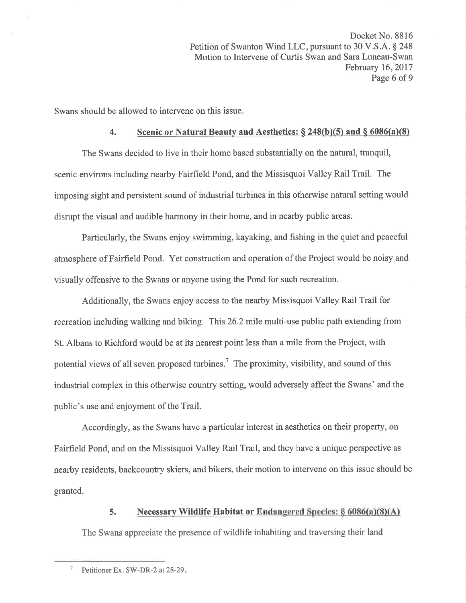Swans should be allowed to intervene on this issue.

## 4. Scenic or Natural Beauty and Aesthetics:  $\S$  248(b)(5) and  $\S$  6086(a)(8)

The Swans decided to live in their home based substantially on the natural, tranquil, scenic environs including nearby Fairfield Pond, and the Missisquoi Valley Rail Trail. The imposing sight and persistent sound of industrial turbines in this otherwise natural setting would disrupt the visual and audible harmony in their home, and in nearby public areas.

Particularly, the Swans enjoy swimming, kayaking, and fishing in the quiet and peaceful atmosphere of Fairfield Pond. Yet construction and operation of the Project would be noisy and visually offensive to the Swans or anyone using the Pond for such recreation.

Additionally, the Swans enjoy access to the nearby Missisquoi Valley Rail Trail for recreation including walking and biking. This 26.2 mile multi-use public path extending from St. Albans to Richford would be at its nearest point less than a mile from the Project, with potential views of all seven proposed turbines.<sup>7</sup> The proximity, visibility, and sound of this industrial complex in this otherwise country setting, would adversely affect the Swans' and the public's use and enjoyment of the Trail.

Accordingly, as the Swans have a particular interest in aesthetics on their property, on Fairfield Pond, and on the Missisquoi Valley Rail Trail, and they have a unique perspective as nearby residents, backcountry skiers, and bikers, their motion to intervene on this issue should be granted.

## 5. Necessary Wildlife Habitat or Endangered Species:  $\S 6086(a)(8)(A)$

The Swans appreciate the presence of wildlife inhabiting and traversing their land

<sup>&</sup>lt;sup>7</sup> Petitioner Ex. SW-DR-2 at  $28-29$ .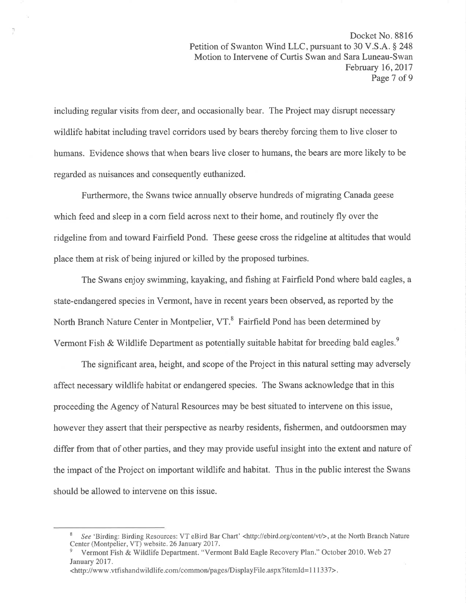including regular visits from deer, and occasionally bear. The Project may disrupt necessary wildlife habitat including travel corridors used by bears thereby forcing them to live closer to humans. Evidence shows that when bears live closer to humans, the bears are more likely to be regarded as nuisances and consequently euthanized.

')

Furthermore, the Swans twice annually observe hundreds of migrating Canada geese which feed and sleep in a corn field across next to their home, and routinely fly over the ridgeline from and toward Fairfield Pond. These geese cross the ridgeline at altitudes that would place them at risk of being injured or killed by the proposed turbines.

The Swans enjoy swimming, kayaking, and fishing at Fairfield Pond where bald eagles, a state-endangered species in Vermont, have in recent years been observed, as reported by the North Branch Nature Center in Montpelier, VT.<sup>8</sup> Fairfield Pond has been determined by Vermont Fish & Wildlife Department as potentially suitable habitat for breeding bald eagles.<sup>9</sup>

The significant area, height, and scope of the Project in this natural setting may adversely affect necessary wildlife habitat or endangered species. The Swans acknowledge that in this proceeding the Agency of Natural Resources may be best situated to intervene on this issue, however they assert that their perspective as nearby residents, fishermen, and outdoorsmen may differ from that of other parties, and they may provide useful insight into the extent and nature of the impact of the Project on important wildlife and habitat. Thus in the public interest the Swans should be allowed to intervene on this issue.

<sup>&</sup>lt;sup>8</sup> See 'Birding: Birding Resources: VT eBird Bar Chart' <http://ebird.org/content/vt/>, at the North Branch Nature Center (Montpelier, VT) website. 26 January 2017.

Vermont Fish & Wildlife Department. "Vermont Bald Eagle Recovery Plan." October 2010. Web 27 January 2017.

<sup>&</sup>lt;http://www.vtfishandwildlife.com/common/pages/DisplayFile.aspx?itemld=l 11337>.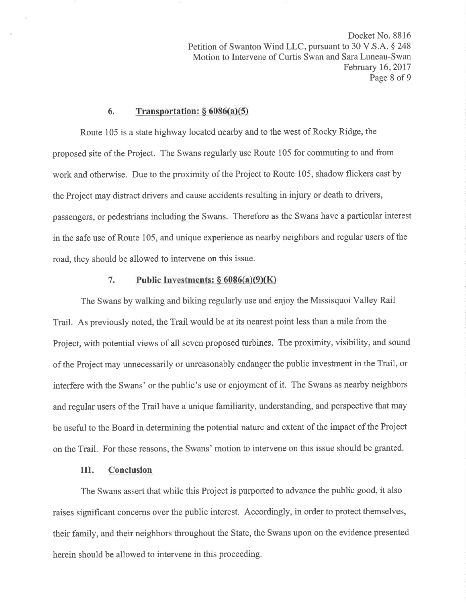Docket No. 8816 Petition of Swanton Wind LLC, pursuant to 30 V.S.A. \$ 248 Motion to Intervene of Curtis Swan and Sara Luneau-Swan February 16,2017 Page 8 of 9

### 6. Transportation:  $§ 6086(a)(5)$

Route 105 is a state highway located nearby and to the west of Rocky Ridge, the proposed site of the Project. The Swans regularly use Route 105 for commuting to and from work and otherwise. Due to the proximity of the Project to Route 105, shadow flickers cast by the Project may distract drivers and cause accidents resulting in injury or death to drivers, passengers, or pedestrians including the Swans. Therefore as the Swans have a particular interest in the safe use of Route 105, and unique experience as nearby neighbors and regular users of the road, they should be allowed to intervene on this issue.

#### 7. Public Investments:  $\S 6086(a)(9)(K)$

The Swans by walking and biking regularly use and enjoy the Missisquoi Valley Rail Trail. As previously noted, the Trail would be at its nearest point less than a mile from the Project, with potential views of all seven proposed turbines. The proximity, visibility, and sound of the Project may unnecessarily or unreasonably endanger the public investment in the Trail, or interfere with the Swans' or the public's use or enjoyment of it. The Swans as nearby neighbors and regular users of the Trail have a unique familiarity, understanding, and perspective that may be useful to the Board in determining the potential nature and extent of the impact of the Project on the Trail. For these reasons, the Swans' motion to intervene on this issue should be granted.

## III. Conclusion

The Swans assert that while this Project is purported to advance the public good, it also raises signifîcant concerns over the public interest. Accordingly, in order to protect themselves, their family, and their neighbors throughout the State, the Swans upon on the evidence presented herein should be allowed to intervene in this proceeding.